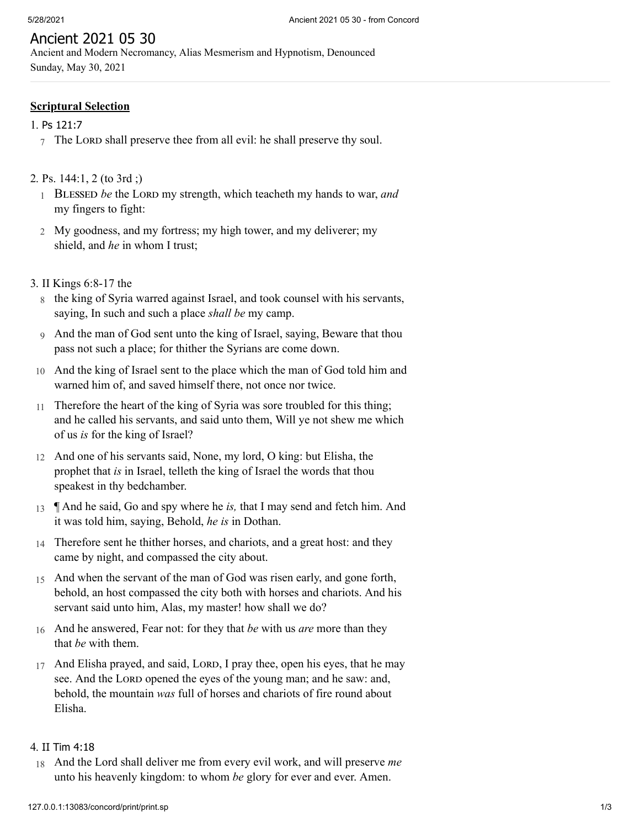# Ancient 2021 05 30

Ancient and Modern Necromancy, Alias Mesmerism and Hypnotism, Denounced Sunday, May 30, 2021

### **Scriptural Selection**

#### 1. Ps [121:7](http://www.concordworks.com/citation/Ps%20121:7)

 $7$  The LORD shall preserve thee from all evil: he shall preserve thy soul.

### 2. [Ps. 144:1, 2 \(to 3rd ;\)](http://www.concordworks.com/citation/Ps.%20144:1,%202%20(to%203rd%20;))

- 1 BLESSED be the LORD my strength, which teacheth my hands to war, and my fingers to fight:
- 2 My goodness, and my fortress; my high tower, and my deliverer; my shield, and *he* in whom I trust;

#### 3. [II Kings 6:8-17 the](http://www.concordworks.com/citation/II%20Kings%206:8-17%20the)

- 8 the king of Syria warred against Israel, and took counsel with his servants, saying, In such and such a place *shall be* my camp.
- 9 And the man of God sent unto the king of Israel, saying, Beware that thou pass not such a place; for thither the Syrians are come down.
- 10 And the king of Israel sent to the place which the man of God told him and warned him of, and saved himself there, not once nor twice.
- 11 Therefore the heart of the king of Syria was sore troubled for this thing; and he called his servants, and said unto them, Will ye not shew me which of us *is* for the king of Israel?
- 12 And one of his servants said, None, my lord, O king: but Elisha, the prophet that *is* in Israel, telleth the king of Israel the words that thou speakest in thy bedchamber.
- 13 ¶ And he said, Go and spy where he *is,* that I may send and fetch him. And it was told him, saying, Behold, *he is* in Dothan.
- 14 Therefore sent he thither horses, and chariots, and a great host: and they came by night, and compassed the city about.
- 15 And when the servant of the man of God was risen early, and gone forth, behold, an host compassed the city both with horses and chariots. And his servant said unto him, Alas, my master! how shall we do?
- 16 And he answered, Fear not: for they that *be* with us *are* more than they that *be* with them.
- 17 And Elisha prayed, and said, LORD, I pray thee, open his eyes, that he may see. And the LORD opened the eyes of the young man; and he saw: and, behold, the mountain *was* full of horses and chariots of fire round about Elisha.

### 4. II Tim [4:18](http://www.concordworks.com/citation/II%20Tim%204:18)

18 And the Lord shall deliver me from every evil work, and will preserve *me* unto his heavenly kingdom: to whom *be* glory for ever and ever. Amen.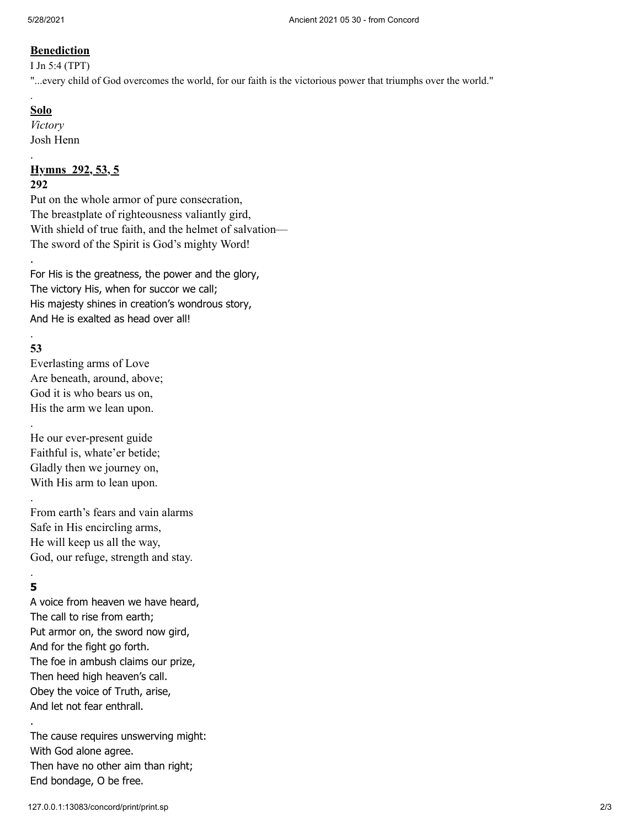## **Benediction**

I Jn 5:4 (TPT)

"...every child of God overcomes the world, for our faith is the victorious power that triumphs over the world."

# **Solo**

.

.

*Victory* Josh Henn

### **Hymns 292, 53, 5 292**

Put on the whole armor of pure consecration, The breastplate of righteousness valiantly gird, With shield of true faith, and the helmet of salvation— The sword of the Spirit is God's mighty Word!

For His is the greatness, the power and the glory, The victory His, when for succor we call; His majesty shines in creation's wondrous story, And He is exalted as head over all!

### . **53**

.

.

.

Everlasting arms of Love Are beneath, around, above; God it is who bears us on, His the arm we lean upon.

He our ever-present guide Faithful is, whate'er betide; Gladly then we journey on, With His arm to lean upon.

From earth's fears and vain alarms Safe in His encircling arms, He will keep us all the way, God, our refuge, strength and stay.

## . **5**

.

A voice from heaven we have heard, The call to rise from earth; Put armor on, the sword now gird, And for the fight go forth. The foe in ambush claims our prize, Then heed high heaven's call. Obey the voice of Truth, arise, And let not fear enthrall.

The cause requires unswerving might: With God alone agree. Then have no other aim than right; End bondage, O be free.